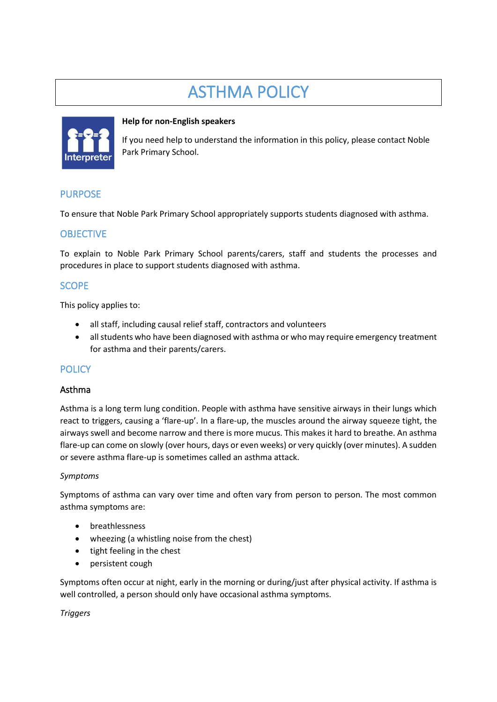# ASTHMA POLICY



#### **Help for non-English speakers**

If you need help to understand the information in this policy, please contact Noble Park Primary School.

## PURPOSE

To ensure that Noble Park Primary School appropriately supports students diagnosed with asthma.

## **OBJECTIVE**

To explain to Noble Park Primary School parents/carers, staff and students the processes and procedures in place to support students diagnosed with asthma.

## **SCOPE**

This policy applies to:

- all staff, including causal relief staff, contractors and volunteers
- all students who have been diagnosed with asthma or who may require emergency treatment for asthma and their parents/carers.

## **POLICY**

#### Asthma

Asthma is a long term lung condition. People with asthma have sensitive airways in their lungs which react to triggers, causing a 'flare-up'. In a flare-up, the muscles around the airway squeeze tight, the airways swell and become narrow and there is more mucus. This makes it hard to breathe. An asthma flare-up can come on slowly (over hours, days or even weeks) or very quickly (over minutes). A sudden or severe asthma flare-up is sometimes called an asthma attack.

#### *Symptoms*

Symptoms of asthma can vary over time and often vary from person to person. The most common asthma symptoms are:

- breathlessness
- wheezing (a whistling noise from the chest)
- tight feeling in the chest
- persistent cough

Symptoms often occur at night, early in the morning or during/just after physical activity. If asthma is well controlled, a person should only have occasional asthma symptoms.

*Triggers*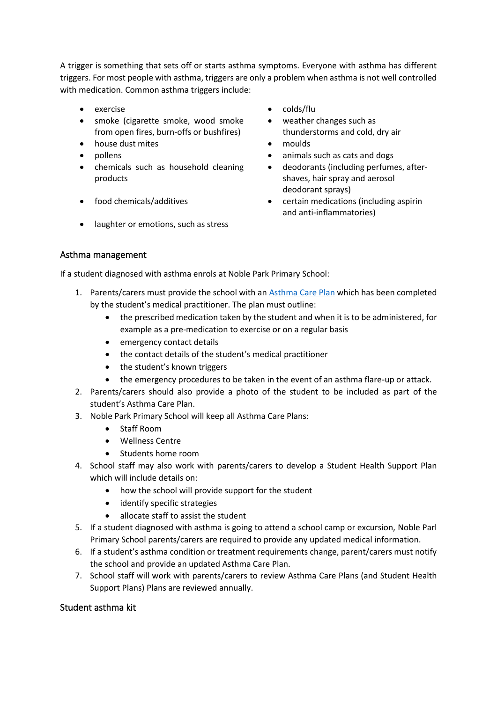A trigger is something that sets off or starts asthma symptoms. Everyone with asthma has different triggers. For most people with asthma, triggers are only a problem when asthma is not well controlled with medication. Common asthma triggers include:

- 
- smoke (cigarette smoke, wood smoke from open fires, burn-offs or bushfires)
- house dust mites moulds
- 
- chemicals such as household cleaning products
- 
- laughter or emotions, such as stress
- exercise colds/flu
	- weather changes such as thunderstorms and cold, dry air
	-
- pollens animals such as cats and dogs
	- deodorants (including perfumes, aftershaves, hair spray and aerosol deodorant sprays)
- food chemicals/additives certain medications (including aspirin and anti-inflammatories)

#### Asthma management

If a student diagnosed with asthma enrols at Noble Park Primary School:

- 1. Parents/carers must provide the school with an [Asthma Care](http://www.education.vic.gov.au/school/principals/spag/health/Documents/AsthmaCarePlan.pdf) Plan which has been completed by the student's medical practitioner. The plan must outline:
	- the prescribed medication taken by the student and when it is to be administered, for example as a pre-medication to exercise or on a regular basis
	- emergency contact details
	- the contact details of the student's medical practitioner
	- the student's known triggers
	- the emergency procedures to be taken in the event of an asthma flare-up or attack.
- 2. Parents/carers should also provide a photo of the student to be included as part of the student's Asthma Care Plan.
- 3. Noble Park Primary School will keep all Asthma Care Plans:
	- Staff Room
	- Wellness Centre
	- Students home room
- 4. School staff may also work with parents/carers to develop a Student Health Support Plan which will include details on:
	- how the school will provide support for the student
	- identify specific strategies
	- allocate staff to assist the student
- 5. If a student diagnosed with asthma is going to attend a school camp or excursion, Noble Parl Primary School parents/carers are required to provide any updated medical information.
- 6. If a student's asthma condition or treatment requirements change, parent/carers must notify the school and provide an updated Asthma Care Plan.
- 7. School staff will work with parents/carers to review Asthma Care Plans (and Student Health Support Plans) Plans are reviewed annually.

## Student asthma kit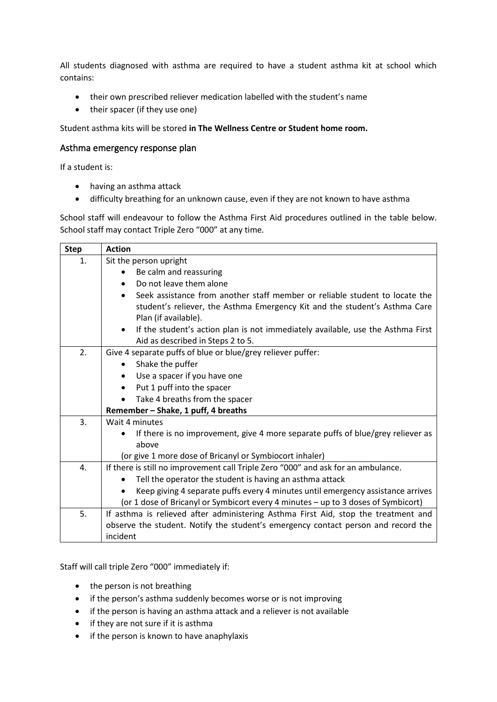All students diagnosed with asthma are required to have a student asthma kit at school which contains:

- their own prescribed reliever medication labelled with the student's name
- their spacer (if they use one)

Student asthma kits will be stored **in The Wellness Centre or Student home room.**

#### Asthma emergency response plan

If a student is:

- having an asthma attack
- difficulty breathing for an unknown cause, even if they are not known to have asthma

School staff will endeavour to follow the Asthma First Aid procedures outlined in the table below. School staff may contact Triple Zero "000" at any time.

| <b>Step</b> | <b>Action</b>                                                                                |  |  |  |  |  |
|-------------|----------------------------------------------------------------------------------------------|--|--|--|--|--|
| 1.          | Sit the person upright                                                                       |  |  |  |  |  |
|             | Be calm and reassuring                                                                       |  |  |  |  |  |
|             | Do not leave them alone<br>$\bullet$                                                         |  |  |  |  |  |
|             | Seek assistance from another staff member or reliable student to locate the                  |  |  |  |  |  |
|             | student's reliever, the Asthma Emergency Kit and the student's Asthma Care                   |  |  |  |  |  |
|             | Plan (if available).                                                                         |  |  |  |  |  |
|             | If the student's action plan is not immediately available, use the Asthma First<br>$\bullet$ |  |  |  |  |  |
|             | Aid as described in Steps 2 to 5.                                                            |  |  |  |  |  |
| 2.          | Give 4 separate puffs of blue or blue/grey reliever puffer:                                  |  |  |  |  |  |
|             | Shake the puffer<br>٠                                                                        |  |  |  |  |  |
|             | Use a spacer if you have one<br>$\bullet$                                                    |  |  |  |  |  |
|             | Put 1 puff into the spacer<br>$\bullet$                                                      |  |  |  |  |  |
|             | Take 4 breaths from the spacer                                                               |  |  |  |  |  |
|             | Remember - Shake, 1 puff, 4 breaths                                                          |  |  |  |  |  |
| 3.          | Wait 4 minutes                                                                               |  |  |  |  |  |
|             | If there is no improvement, give 4 more separate puffs of blue/grey reliever as<br>$\bullet$ |  |  |  |  |  |
|             | above                                                                                        |  |  |  |  |  |
|             | (or give 1 more dose of Bricanyl or Symbiocort inhaler)                                      |  |  |  |  |  |
| 4.          | If there is still no improvement call Triple Zero "000" and ask for an ambulance.            |  |  |  |  |  |
|             | Tell the operator the student is having an asthma attack<br>$\bullet$                        |  |  |  |  |  |
|             | Keep giving 4 separate puffs every 4 minutes until emergency assistance arrives              |  |  |  |  |  |
|             | (or 1 dose of Bricanyl or Symbicort every 4 minutes - up to 3 doses of Symbicort)            |  |  |  |  |  |
| 5.          | If asthma is relieved after administering Asthma First Aid, stop the treatment and           |  |  |  |  |  |
|             | observe the student. Notify the student's emergency contact person and record the            |  |  |  |  |  |
|             | incident                                                                                     |  |  |  |  |  |

Staff will call triple Zero "000" immediately if:

- the person is not breathing
- if the person's asthma suddenly becomes worse or is not improving
- if the person is having an asthma attack and a reliever is not available
- if they are not sure if it is asthma
- if the person is known to have anaphylaxis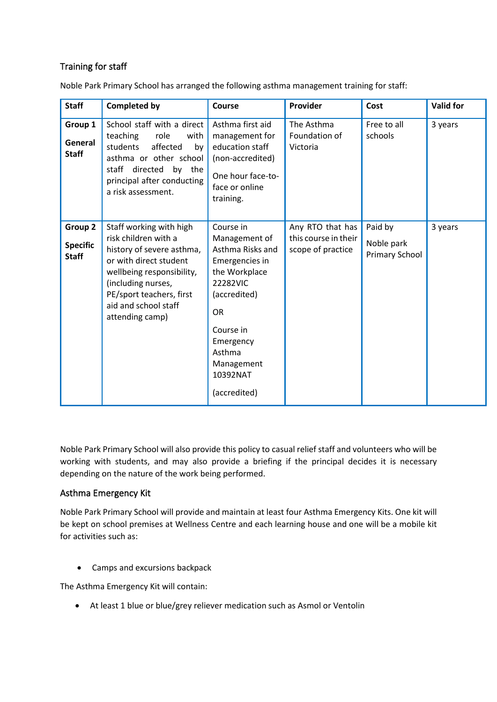# Training for staff

Noble Park Primary School has arranged the following asthma management training for staff:

| <b>Staff</b>                               | <b>Completed by</b>                                                                                                                                                                                                              | Course                                                                                                                                                                                                   | Provider                                                      | Cost                                           | <b>Valid for</b> |
|--------------------------------------------|----------------------------------------------------------------------------------------------------------------------------------------------------------------------------------------------------------------------------------|----------------------------------------------------------------------------------------------------------------------------------------------------------------------------------------------------------|---------------------------------------------------------------|------------------------------------------------|------------------|
| Group 1<br>General<br><b>Staff</b>         | School staff with a direct<br>teaching<br>role<br>with<br>affected<br>students<br>by<br>asthma or other school<br>staff directed by the<br>principal after conducting<br>a risk assessment.                                      | Asthma first aid<br>management for<br>education staff<br>(non-accredited)<br>One hour face-to-<br>face or online<br>training.                                                                            | The Asthma<br>Foundation of<br>Victoria                       | Free to all<br>schools                         | 3 years          |
| Group 2<br><b>Specific</b><br><b>Staff</b> | Staff working with high<br>risk children with a<br>history of severe asthma,<br>or with direct student<br>wellbeing responsibility,<br>(including nurses,<br>PE/sport teachers, first<br>aid and school staff<br>attending camp) | Course in<br>Management of<br>Asthma Risks and<br>Emergencies in<br>the Workplace<br>22282VIC<br>(accredited)<br><b>OR</b><br>Course in<br>Emergency<br>Asthma<br>Management<br>10392NAT<br>(accredited) | Any RTO that has<br>this course in their<br>scope of practice | Paid by<br>Noble park<br><b>Primary School</b> | 3 years          |

Noble Park Primary School will also provide this policy to casual relief staff and volunteers who will be working with students, and may also provide a briefing if the principal decides it is necessary depending on the nature of the work being performed.

## Asthma Emergency Kit

Noble Park Primary School will provide and maintain at least four Asthma Emergency Kits. One kit will be kept on school premises at Wellness Centre and each learning house and one will be a mobile kit for activities such as:

• Camps and excursions backpack

The Asthma Emergency Kit will contain:

• At least 1 blue or blue/grey reliever medication such as Asmol or Ventolin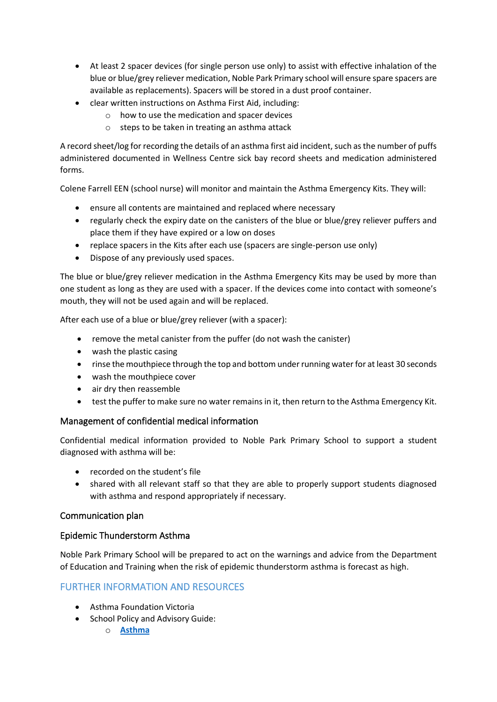- At least 2 spacer devices (for single person use only) to assist with effective inhalation of the blue or blue/grey reliever medication, Noble Park Primary school will ensure spare spacers are available as replacements). Spacers will be stored in a dust proof container.
- clear written instructions on Asthma First Aid, including:
	- o how to use the medication and spacer devices
	- o steps to be taken in treating an asthma attack

A record sheet/log for recording the details of an asthma first aid incident, such as the number of puffs administered documented in Wellness Centre sick bay record sheets and medication administered forms.

Colene Farrell EEN (school nurse) will monitor and maintain the Asthma Emergency Kits. They will:

- ensure all contents are maintained and replaced where necessary
- regularly check the expiry date on the canisters of the blue or blue/grey reliever puffers and place them if they have expired or a low on doses
- replace spacers in the Kits after each use (spacers are single-person use only)
- Dispose of any previously used spaces.

The blue or blue/grey reliever medication in the Asthma Emergency Kits may be used by more than one student as long as they are used with a spacer. If the devices come into contact with someone's mouth, they will not be used again and will be replaced.

After each use of a blue or blue/grey reliever (with a spacer):

- remove the metal canister from the puffer (do not wash the canister)
- wash the plastic casing
- rinse the mouthpiece through the top and bottom under running water for at least 30 seconds
- wash the mouthpiece cover
- air dry then reassemble
- test the puffer to make sure no water remains in it, then return to the Asthma Emergency Kit.

# Management of confidential medical information

Confidential medical information provided to Noble Park Primary School to support a student diagnosed with asthma will be:

- recorded on the student's file
- shared with all relevant staff so that they are able to properly support students diagnosed with asthma and respond appropriately if necessary.

## Communication plan

## Epidemic Thunderstorm Asthma

Noble Park Primary School will be prepared to act on the warnings and advice from the Department of Education and Training when the risk of epidemic thunderstorm asthma is forecast as high.

# FURTHER INFORMATION AND RESOURCES

- Asthma Foundation Victoria
- School Policy and Advisory Guide:
	- o **[Asthma](http://www.education.vic.gov.au/school/principals/spag/health/pages/conditionasthma.aspx)**